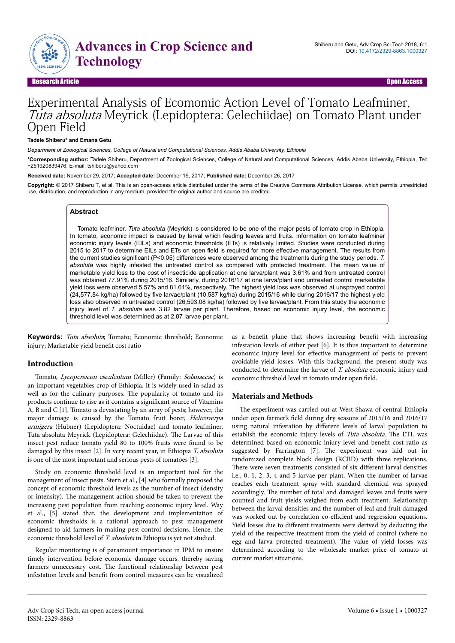

Research Article Open Access

# Experimental Analysis of Ecomomic Action Level of Tomato Leafminer, Tuta absoluta Meyrick (Lepidoptera: Gelechiidae) on Tomato Plant under Open Field

#### **Tadele Shiberu\* and Emana Getu**

*Department of Zoological Sciences, College of Natural and Computational Sciences, Addis Ababa University, Ethiopia*

**\*Corresponding author:** Tadele Shiberu, Department of Zoological Sciences, College of Natural and Computational Sciences, Addis Ababa University, Ethiopia, Tel: +251920839476; E-mail: tshiberu@yahoo.com

**Received date:** November 29, 2017; **Accepted date:** December 19, 2017; **Published date:** December 26, 2017

**Copyright:** © 2017 Shiberu T, et al. This is an open-access article distributed under the terms of the Creative Commons Attribution License, which permits unrestricted use, distribution, and reproduction in any medium, provided the original author and source are credited.

## **Abstract**

Tomato leafminer, *Tuta absoluta* (Meyrick) is considered to be one of the major pests of tomato crop in Ethiopia. In tomato, economic impact is caused by larval which feeding leaves and fruits. Information on tomato leafminer economic injury levels (EILs) and economic thresholds (ETs) is relatively limited. Studies were conducted during 2015 to 2017 to determine EILs and ETs on open field is required for more effective management. The results from the current studies significant (P<0.05) differences were observed among the treatments during the study periods. T. *absoluta* was highly infested the untreated control as compared with protected treatment. The mean value of marketable yield loss to the cost of insecticide application at one larva/plant was 3.61% and from untreated control was obtained 77.91% during 2015/16. Similarly, during 2016/17 at one larva/plant and untreated control marketable yield loss were observed 5.57% and 81.61%, respectively. The highest yield loss was observed at unsprayed control (24,577.84 kg/ha) followed by five larvae/plant (10,587 kg/ha) during 2015/16 while during 2016/17 the highest yield loss also observed in untreated control (26,593.08 kg/ha) followed by five larvae/plant. From this study the economic injury level of *T. absoluta* was 3.82 larvae per plant. Therefore, based on economic injury level, the economic threshold level was determined as at 2.87 larvae per plant.

**Keywords:** Tuta absoluta; Tomato; Economic threshold; Economic injury; Marketable yield benefit cost ratio

#### **Introduction**

Tomato, Lycopersicon esculentum (Miller) (Family: Solanaceae) is an important vegetables crop of Ethiopia. It is widely used in salad as well as for the culinary purposes. Нe popularity of tomato and its products continue to rise as it contains a significant source of Vitamins A, B and C [1]. Tomato is devastating by an array of pests; however, the major damage is caused by the Tomato fruit borer, Helicoverpa armigera (Hubner) (Lepidoptera: Noctuidae) and tomato leafminer, Tuta absoluta Meyrick (Lepidoptera: Gelechiidae). Нe Larvae of this insect pest reduce tomato yield 80 to 100% fruits were found to be damaged by this insect [2]. In very recent year, in Ethiopia T. absoluta is one of the most important and serious pests of tomatoes [3].

Study on economic threshold level is an important tool for the management of insect pests. Stern et al., [4] who formally proposed the concept of economic threshold levels as the number of insect (density or intensity). Нe management action should be taken to prevent the increasing pest population from reaching economic injury level. Way et al., [5] stated that, the development and implementation of economic thresholds is a rational approach to pest management designed to aid farmers in making pest control decisions. Hence, the economic threshold level of T. absoluta in Ethiopia is yet not studied.

Regular monitoring is of paramount importance in IPM to ensure timely intervention before economic damage occurs, thereby saving farmers unnecessary cost. Нe functional relationship between pest infestation levels and benefit from control measures can be visualized

as a benefit plane that shows increasing benefit with increasing infestation levels of either pest [6]. It is thus important to determine economic injury level for effective management of pests to prevent avoidable yield losses. With this background, the present study was conducted to determine the larvae of T. absoluta economic injury and economic threshold level in tomato under open field.

#### **Materials and Methods**

The experiment was carried out at West Shawa of central Ethiopia under open farmer's field during dry seasons of 2015/16 and 2016/17 using natural infestation by different levels of larval population to establish the economic injury levels of Tuta absoluta. The ETL was determined based on economic injury level and benefit cost ratio as suggested by Farrington [7]. Нe experiment was laid out in randomized complete block design (RCBD) with three replications. There were seven treatments consisted of six different larval densities i.e., 0, 1, 2, 3, 4 and 5 larvae per plant. When the number of larvae reaches each treatment spray with standard chemical was sprayed accordingly. Нe number of total and damaged leaves and fruits were counted and fruit yields weighed from each treatment. Relationship between the larval densities and the number of leaf and fruit damaged was worked out by correlation co-efficient and regression equations. Yield losses due to different treatments were derived by deducting the yield of the respective treatment from the yield of control (where no egg and larva protected treatment). Нe value of yield losses was determined according to the wholesale market price of tomato at current market situations.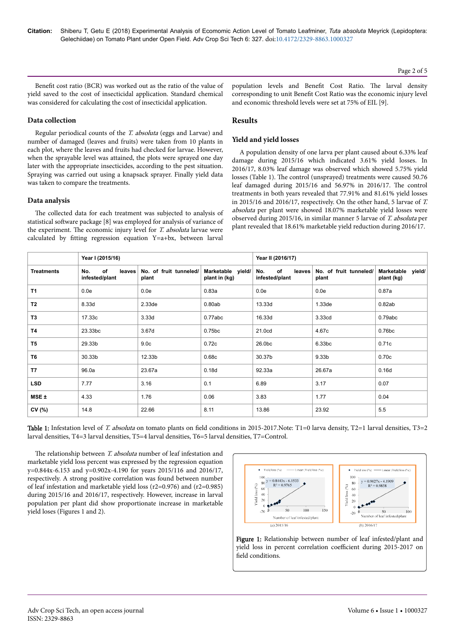Page 2 of 5

Benefit cost ratio (BCR) was worked out as the ratio of the value of yield saved to the cost of insecticidal application. Standard chemical was considered for calculating the cost of insecticidal application.

#### **Data collection**

Regular periodical counts of the T. absoluta (eggs and Larvae) and number of damaged (leaves and fruits) were taken from 10 plants in each plot, where the leaves and fruits had checked for larvae. However, when the sprayable level was attained, the plots were sprayed one day later with the appropriate insecticides, according to the pest situation. Spraying was carried out using a knapsack sprayer. Finally yield data was taken to compare the treatments.

#### **Data analysis**

The collected data for each treatment was subjected to analysis of statistical software package [8] was employed for analysis of variance of the experiment. The economic injury level for T. absoluta larvae were calculated by fitting regression equation Y=a+bx, between larval

population levels and Benefit Cost Ratio. The larval density corresponding to unit Benefit Cost Ratio was the economic injury level and economic threshold levels were set at 75% of EIL [9].

## **Results**

## **Yield and yield losses**

A population density of one larva per plant caused about 6.33% leaf damage during 2015/16 which indicated 3.61% yield losses. In 2016/17, 8.03% leaf damage was observed which showed 5.75% yield losses (Table 1). Нe control (unsprayed) treatments were caused 50.76 leaf damaged during 2015/16 and 56.97% in 2016/17. Нe control treatments in both years revealed that 77.91% and 81.61% yield losses in 2015/16 and 2016/17, respectively. On the other hand, 5 larvae of T. absoluta per plant were showed 18.07% marketable yield losses were observed during 2015/16, in similar manner 5 larvae of T. absoluta per plant revealed that 18.61% marketable yield reduction during 2016/17.

|                   | Year I (2015/16)                      |                                 |                                    | Year II (2016/17)                     |                                 |                                    |  |
|-------------------|---------------------------------------|---------------------------------|------------------------------------|---------------------------------------|---------------------------------|------------------------------------|--|
| <b>Treatments</b> | of<br>No.<br>leaves<br>infested/plant | No. of fruit tunneled/<br>plant | Marketable yield/<br>plant in (kg) | of<br>No.<br>leaves<br>infested/plant | No. of fruit tunneled/<br>plant | Marketable<br>yield/<br>plant (kg) |  |
| <b>T1</b>         | 0.0e                                  | 0.0e                            | 0.83a                              | 0.0e                                  | 0.0e                            | 0.87a                              |  |
| T <sub>2</sub>    | 8.33d                                 | 2.33de                          | 0.80ab                             | 13.33d                                | 1.33 <sub>de</sub>              | 0.82ab                             |  |
| T <sub>3</sub>    | 17.33c                                | 3.33d                           | 0.77abc                            | 16.33d                                | 3.33cd                          | 0.79abc                            |  |
| <b>T4</b>         | 23.33bc                               | 3.67 <sub>d</sub>               | 0.75bc                             | 21.0cd                                | 4.67c                           | 0.76bc                             |  |
| T <sub>5</sub>    | 29.33b                                | 9.0 <sub>c</sub>                | 0.72c                              | 26.0bc                                | 6.33bc                          | 0.71c                              |  |
| T <sub>6</sub>    | 30.33b                                | 12.33b                          | 0.68c                              | 30.37b                                | 9.33 <sub>b</sub>               | 0.70c                              |  |
| T <sub>7</sub>    | 96.0a                                 | 23.67a                          | 0.18d                              | 92.33a                                | 26.67a                          | 0.16d                              |  |
| <b>LSD</b>        | 7.77                                  | 3.16                            | 0.1                                | 6.89                                  | 3.17                            | 0.07                               |  |
| $MSE +$           | 4.33                                  | 1.76                            | 0.06                               | 3.83                                  | 1.77                            | 0.04                               |  |
| CV(%)             | 14.8                                  | 22.66                           | 8.11                               | 13.86                                 | 23.92                           | 5.5                                |  |

Table 1: Infestation level of T. absoluta on tomato plants on field conditions in 2015-2017.Note: T1=0 larva density, T2=1 larval densities, T3=2 larval densities, T4=3 larval densities, T5=4 larval densities, T6=5 larval densities, T7=Control.

The relationship between T. absoluta number of leaf infestation and marketable yield loss percent was expressed by the regression equation y=0.844x-6.153 and y=0.902x-4.190 for years 2015/116 and 2016/17, respectively. A strong positive correlation was found between number of leaf infestation and marketable yield loss (r2=0.976) and (r2=0.985) during 2015/16 and 2016/17, respectively. However, increase in larval population per plant did show proportionate increase in marketable yield loses (Figures 1 and 2).



Figure 1: Relationship between number of leaf infested/plant and yield loss in percent correlation coefficient during 2015-2017 on field conditions.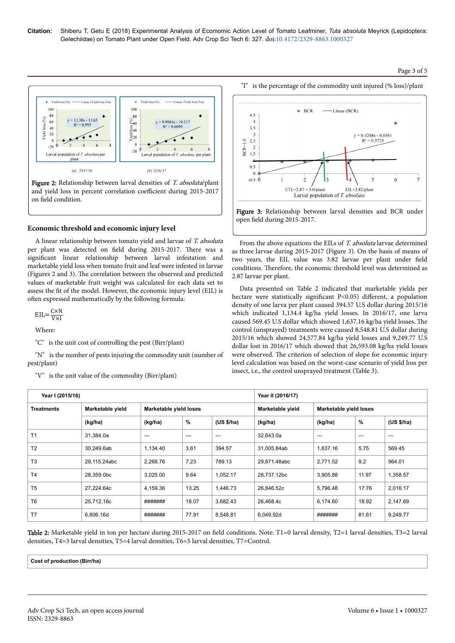## Page 3 of 5



Figure 2: Relationship between larval densities of T. absoluta/plant and yield loss in percent correlation coefficient during 2015-2017 on field condition.

## **Economic threshold and economic injury level**

A linear relationship between tomato yield and larvae of T. absoluta per plant was detected on field during 2015-2017. There was a significant linear relationship between larval infestation and marketable yield loss when tomato fruit and leaf were infested in larvae (Figures 2 and 3). Нe correlation between the observed and predicted values of marketable fruit weight was calculated for each data set to assess the fit of the model. However, the economic injury level (EIL) is often expressed mathematically by the following formula:

 $EIL = \frac{C \times N}{V}$  $\overline{V\times I}$ 

Where:

"C" is the unit cost of controlling the pest (Birr/plant)

"N" is the number of pests injuring the commodity unit (number of pest/plant)

"V" is the unit value of the commodity (Birr/plant)



Figure 3: Relationship between larval densities and BCR under open field during 2015-2017.

From the above equations the EILs of T. absoluta larvae determined as three larvae during 2015-2017 (Figure 3). On the basis of means of two years, the EIL value was 3.82 larvae per plant under field conditions. Нerefore, the economic threshold level was determined as 2.87 larvae per plant.

Data presented on Table 2 indicated that marketable yields per hectare were statistically significant P<0.05) different, a population density of one larva per plant caused 394.57 U.S dollar during 2015/16 which indicated 1,134.4 kg/ha yield losses. In 2016/17, one larva caused 569.45 U.S dollar which showed 1,637.16 kg/ha yield losses. Нe control (unsprayed) treatments were caused 8,548.81 U.S dollar during 2015/16 which showed 24,577.84 kg/ha yield losses and 9,249.77 U.S dollar lost in 2016/17 which showed that 26,593.08 kg/ha yield losses were observed. Нe criterion of selection of slope for economic injury level calculation was based on the worst-case scenario of yield loss per insect, i.e., the control unsprayed treatment (Table 3).

| Year I (2015/16)  |                  |                        |       | Year II (2016/17) |                  |                        |       |            |
|-------------------|------------------|------------------------|-------|-------------------|------------------|------------------------|-------|------------|
| <b>Treatments</b> | Marketable yield | Marketable yield loses |       |                   | Marketable yield | Marketable yield loses |       |            |
|                   | (kg/ha)          | (kg/ha)                | %     | (US \$/ha)        | (kg/ha)          | (kg/ha)                | %     | (US \$/ha) |
| T <sub>1</sub>    | 31,384.0a        | $---$                  | $---$ | $---$             | 32,643.0a        | $- - -$                | $---$ | $- - -$    |
| T <sub>2</sub>    | 30.249.6ab       | 1.134.40               | 3.61  | 394.57            | 31.005.84ab      | 1.637.16               | 5.75  | 569.45     |
| T <sub>3</sub>    | 29,115.24abc     | 2,268.76               | 7.23  | 789.13            | 29,871.48abc     | 2,771.52               | 9.2   | 964.01     |
| T <sub>4</sub>    | 28,359.0bc       | 3,025.00               | 9.64  | 1,052.17          | 28,737.12bc      | 3,905.88               | 11.97 | 1,358.57   |
| T <sub>5</sub>    | 27.224.64c       | 4,159.36               | 13.25 | 1,446.73          | 26,846.52c       | 5,796.48               | 17.76 | 2,016.17   |
| T <sub>6</sub>    | 25,712.16c       | #######                | 18.07 | 3.682.43          | 26,468.4c        | 6.174.60               | 18.92 | 2,147.69   |
| T7                | 6,806.16d        | #######                | 77.91 | 8,548.81          | 6,049.92d        | #######                | 81.61 | 9,249.77   |

Table 2: Marketable yield in ton per hectare during 2015-2017 on field conditions. Note: T1=0 larval density, T2=1 larval densities, T3=2 larval densities, T4=3 larval densities, T5=4 larval densities, T6=5 larval densities, T7=Control.

**Cost of production (Birr/ha)**

ISSN: 2329-8863

"I" is the percentage of the commodity unit injured (% loss)/plant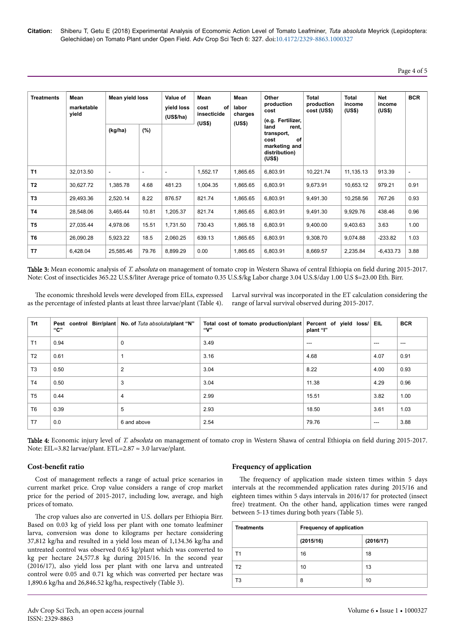# Page 4 of 5

| <b>Treatments</b> | Mean<br>marketable<br>vield | Mean yield loss<br>(kg/ha) | (%)                      | Value of<br>yield loss<br>(US\$/ha) | Mean<br>of<br>cost<br>insecticide<br>(US\$) | Mean<br>labor<br>charges<br>(US\$) | Other<br>production<br>cost<br>(e.g. Fertilizer,<br>land<br>rent.<br>transport,<br>of<br>cost<br>marketing and<br>distribution)<br>(US\$) | Total<br>production<br>cost (US\$) | <b>Total</b><br>income<br>(US\$) | <b>Net</b><br>income<br>(US\$) | <b>BCR</b>               |
|-------------------|-----------------------------|----------------------------|--------------------------|-------------------------------------|---------------------------------------------|------------------------------------|-------------------------------------------------------------------------------------------------------------------------------------------|------------------------------------|----------------------------------|--------------------------------|--------------------------|
| <b>T1</b>         | 32,013.50                   | $\overline{\phantom{a}}$   | $\overline{\phantom{a}}$ | $\overline{\phantom{a}}$            | 1,552.17                                    | 1,865.65                           | 6,803.91                                                                                                                                  | 10,221.74                          | 11,135.13                        | 913.39                         | $\overline{\phantom{a}}$ |
| T <sub>2</sub>    | 30,627.72                   | 1,385.78                   | 4.68                     | 481.23                              | 1,004.35                                    | 1,865.65                           | 6,803.91                                                                                                                                  | 9,673.91                           | 10,653.12                        | 979.21                         | 0.91                     |
| T <sub>3</sub>    | 29,493.36                   | 2,520.14                   | 8.22                     | 876.57                              | 821.74                                      | 1,865.65                           | 6,803.91                                                                                                                                  | 9,491.30                           | 10,258.56                        | 767.26                         | 0.93                     |
| <b>T4</b>         | 28,548.06                   | 3,465.44                   | 10.81                    | 1,205.37                            | 821.74                                      | 1,865.65                           | 6,803.91                                                                                                                                  | 9,491.30                           | 9,929.76                         | 438.46                         | 0.96                     |
| T <sub>5</sub>    | 27,035.44                   | 4,978.06                   | 15.51                    | 1,731.50                            | 730.43                                      | 1,865.18                           | 6,803.91                                                                                                                                  | 9,400.00                           | 9,403.63                         | 3.63                           | 1.00                     |
| T <sub>6</sub>    | 26,090.28                   | 5,923.22                   | 18.5                     | 2,060.25                            | 639.13                                      | 1,865.65                           | 6,803.91                                                                                                                                  | 9,308.70                           | 9,074.88                         | $-233.82$                      | 1.03                     |
| T7                | 6,428.04                    | 25,585.46                  | 79.76                    | 8,899.29                            | 0.00                                        | 1,865.65                           | 6,803.91                                                                                                                                  | 8,669.57                           | 2,235.84                         | $-6,433.73$                    | 3.88                     |

Table 3: Mean economic analysis of T. absoluta on management of tomato crop in Western Shawa of central Ethiopia on field during 2015-2017. Note: Cost of insecticides 365.22 U.S.\$/liter Average price of tomato 0.35 U.S.\$/kg Labor charge 3.04 U.S.\$/day 1.00 U.S \$=23.00 Eth. Birr.

The economic threshold levels were developed from EILs, expressed as the percentage of infested plants at least three larvae/plant (Table 4).

Larval survival was incorporated in the ET calculation considering the range of larval survival observed during 2015-2017.

| <b>Trt</b>     | "С"  | Pest control Birr/plant No. of Tuta absolutal plant "N" | Total cost of tomato production/plant Percent of yield loss/<br>"V" | plant "I" | EIL.  | <b>BCR</b> |
|----------------|------|---------------------------------------------------------|---------------------------------------------------------------------|-----------|-------|------------|
| T1             | 0.94 | $\mathbf 0$                                             | 3.49                                                                | $---$     | ---   | $---$      |
| T <sub>2</sub> | 0.61 |                                                         | 3.16                                                                | 4.68      | 4.07  | 0.91       |
| T <sub>3</sub> | 0.50 | $\overline{2}$                                          | 3.04                                                                | 8.22      | 4.00  | 0.93       |
| T <sub>4</sub> | 0.50 | 3                                                       | 3.04                                                                | 11.38     | 4.29  | 0.96       |
| T <sub>5</sub> | 0.44 | 4                                                       | 2.99                                                                | 15.51     | 3.82  | 1.00       |
| T <sub>6</sub> | 0.39 | 5                                                       | 2.93                                                                | 18.50     | 3.61  | 1.03       |
| T7             | 0.0  | 6 and above                                             | 2.54                                                                | 79.76     | $---$ | 3.88       |

Table 4: Economic injury level of T. absoluta on management of tomato crop in Western Shawa of central Ethiopia on field during 2015-2017. Note: EIL=3.82 larvae/plant. ETL=2.87 ≈ 3.0 larvae/plant.

#### **Cost-benefit ratio**

Cost of management reflects a range of actual price scenarios in current market price. Crop value considers a range of crop market price for the period of 2015-2017, including low, average, and high prices of tomato.

The crop values also are converted in U.S. dollars per Ethiopia Birr. Based on 0.03 kg of yield loss per plant with one tomato leafminer larva, conversion was done to kilograms per hectare considering 37,812 kg/ha and resulted in a yield loss mean of 1,134.36 kg/ha and untreated control was observed 0.65 kg/plant which was converted to kg per hectare 24,577.8 kg during 2015/16. In the second year (2016/17), also yield loss per plant with one larva and untreated control were 0.05 and 0.71 kg which was converted per hectare was 1,890.6 kg/ha and 26,846.52 kg/ha, respectively (Table 3).

#### **Frequency of application**

The frequency of application made sixteen times within 5 days intervals at the recommended application rates during 2015/16 and eighteen times within 5 days intervals in 2016/17 for protected (insect free) treatment. On the other hand, application times were ranged between 5-13 times during both years (Table 5).

| <b>Treatments</b> | <b>Frequency of application</b> |           |  |  |
|-------------------|---------------------------------|-----------|--|--|
|                   | (2015/16)                       | (2016/17) |  |  |
| T1                | 16                              | 18        |  |  |
| T <sub>2</sub>    | 10                              | 13        |  |  |
| T3                | 8                               | 10        |  |  |